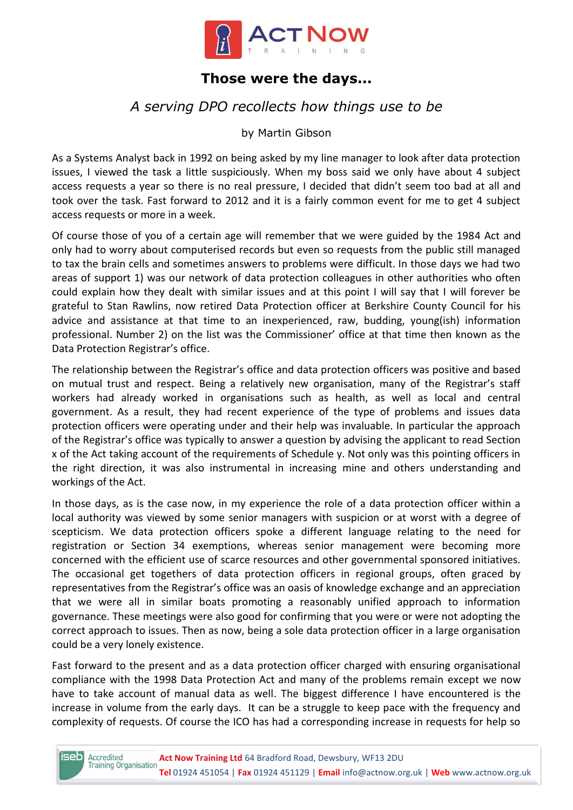

## **Those were the days...**

# *A serving DPO recollects how things use to be*

by Martin Gibson

As a Systems Analyst back in 1992 on being asked by my line manager to look after data protection issues, I viewed the task a little suspiciously. When my boss said we only have about 4 subject access requests a year so there is no real pressure, I decided that didn't seem too bad at all and took over the task. Fast forward to 2012 and it is a fairly common event for me to get 4 subject access requests or more in a week.

Of course those of you of a certain age will remember that we were guided by the 1984 Act and only had to worry about computerised records but even so requests from the public still managed to tax the brain cells and sometimes answers to problems were difficult. In those days we had two areas of support 1) was our network of data protection colleagues in other authorities who often could explain how they dealt with similar issues and at this point I will say that I will forever be grateful to Stan Rawlins, now retired Data Protection officer at Berkshire County Council for his advice and assistance at that time to an inexperienced, raw, budding, young(ish) information professional. Number 2) on the list was the Commissioner' office at that time then known as the Data Protection Registrar's office.

The relationship between the Registrar's office and data protection officers was positive and based on mutual trust and respect. Being a relatively new organisation, many of the Registrar's staff workers had already worked in organisations such as health, as well as local and central government. As a result, they had recent experience of the type of problems and issues data protection officers were operating under and their help was invaluable. In particular the approach of the Registrar's office was typically to answer a question by advising the applicant to read Section x of the Act taking account of the requirements of Schedule y. Not only was this pointing officers in the right direction, it was also instrumental in increasing mine and others understanding and workings of the Act.

In those days, as is the case now, in my experience the role of a data protection officer within a local authority was viewed by some senior managers with suspicion or at worst with a degree of scepticism. We data protection officers spoke a different language relating to the need for registration or Section 34 exemptions, whereas senior management were becoming more concerned with the efficient use of scarce resources and other governmental sponsored initiatives. The occasional get togethers of data protection officers in regional groups, often graced by representatives from the Registrar's office was an oasis of knowledge exchange and an appreciation that we were all in similar boats promoting a reasonably unified approach to information governance. These meetings were also good for confirming that you were or were not adopting the correct approach to issues. Then as now, being a sole data protection officer in a large organisation could be a very lonely existence.

Fast forward to the present and as a data protection officer charged with ensuring organisational compliance with the 1998 Data Protection Act and many of the problems remain except we now have to take account of manual data as well. The biggest difference I have encountered is the increase in volume from the early days. It can be a struggle to keep pace with the frequency and complexity of requests. Of course the ICO has had a corresponding increase in requests for help so